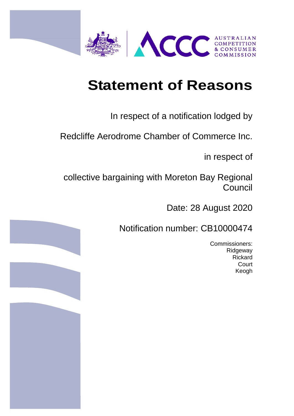

# **Statement of Reasons**

# In respect of a notification lodged by

Redcliffe Aerodrome Chamber of Commerce Inc.

in respect of

collective bargaining with Moreton Bay Regional **Council** 

Date: 28 August 2020

Notification number: CB10000474

Commissioners: Ridgeway Rickard **Court** Keogh

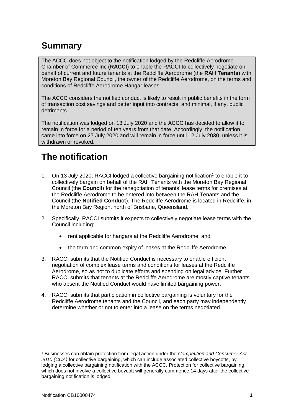# **Summary**

The ACCC does not object to the notification lodged by the Redcliffe Aerodrome Chamber of Commerce Inc (**RACCI**) to enable the RACCI to collectively negotiate on behalf of current and future tenants at the Redcliffe Aerodrome (the **RAH Tenants**) with Moreton Bay Regional Council, the owner of the Redcliffe Aerodrome, on the terms and conditions of Redcliffe Aerodrome Hangar leases.

The ACCC considers the notified conduct is likely to result in public benefits in the form of transaction cost savings and better input into contracts, and minimal, if any, public detriments.

The notification was lodged on 13 July 2020 and the ACCC has decided to allow it to remain in force for a period of ten years from that date. Accordingly, the notification came into force on 27 July 2020 and will remain in force until 12 July 2030, unless it is withdrawn or revoked.

# **The notification**

- 1. On 13 July 2020, RACCI lodged a collective bargaining notification<sup>1</sup> to enable it to collectively bargain on behalf of the RAH Tenants with the Moreton Bay Regional Council (the **Council**) for the renegotiation of tenants' lease terms for premises at the Redcliffe Aerodrome to be entered into between the RAH Tenants and the Council (the **Notified Conduct**). The Redcliffe Aerodrome is located in Redcliffe, in the Moreton Bay Region, north of Brisbane, Queensland.
- 2. Specifically, RACCI submits it expects to collectively negotiate lease terms with the Council including:
	- rent applicable for hangars at the Redcliffe Aerodrome, and
	- the term and common expiry of leases at the Redcliffe Aerodrome.
- 3. RACCI submits that the Notified Conduct is necessary to enable efficient negotiation of complex lease terms and conditions for leases at the Redcliffe Aerodrome, so as not to duplicate efforts and spending on legal advice. Further RACCI submits that tenants at the Redcliffe Aerodrome are mostly captive tenants who absent the Notified Conduct would have limited bargaining power.
- 4. RACCI submits that participation in collective bargaining is voluntary for the Redcliffe Aerodrome tenants and the Council, and each party may independently determine whether or not to enter into a lease on the terms negotiated.

**<sup>.</sup>** <sup>1</sup> Businesses can obtain protection from legal action under the *Competition and Consumer Act 2010 (CCA)* for collective bargaining, which can include associated collective boycotts, by lodging a collective bargaining notification with the ACCC. Protection for collective bargaining which does not involve a collective boycott will generally commence 14 days after the collective bargaining notification is lodged.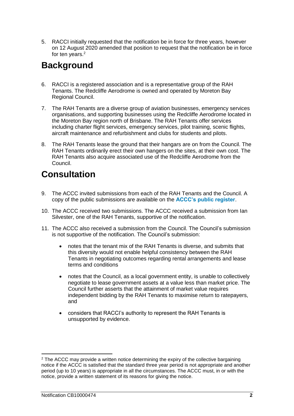5. RACCI initially requested that the notification be in force for three years, however on 12 August 2020 amended that position to request that the notification be in force for ten years. 2

## **Background**

- 6. RACCI is a registered association and is a representative group of the RAH Tenants. The Redcliffe Aerodrome is owned and operated by Moreton Bay Regional Council.
- 7. The RAH Tenants are a diverse group of aviation businesses, emergency services organisations, and supporting businesses using the Redcliffe Aerodrome located in the Moreton Bay region north of Brisbane. The RAH Tenants offer services including charter flight services, emergency services, pilot training, scenic flights, aircraft maintenance and refurbishment and clubs for students and pilots.
- 8. The RAH Tenants lease the ground that their hangars are on from the Council. The RAH Tenants ordinarily erect their own hangers on the sites, at their own cost. The RAH Tenants also acquire associated use of the Redcliffe Aerodrome from the Council.

## **Consultation**

- 9. The ACCC invited submissions from each of the RAH Tenants and the Council. A copy of the public submissions are available on the **[ACCC's public register](https://www.accc.gov.au/public-registers/authorisations-and-notifications-registers/collective-bargaining-notifications-register/redcliffe-aerodrome-chamber-of-commerce-inc)**.
- 10. The ACCC received two submissions. The ACCC received a submission from Ian Silvester, one of the RAH Tenants, supportive of the notification.
- 11. The ACCC also received a submission from the Council. The Council's submission is not supportive of the notification. The Council's submission:
	- notes that the tenant mix of the RAH Tenants is diverse, and submits that this diversity would not enable helpful consistency between the RAH Tenants in negotiating outcomes regarding rental arrangements and lease terms and conditions
	- notes that the Council, as a local government entity, is unable to collectively negotiate to lease government assets at a value less than market price. The Council further asserts that the attainment of market value requires independent bidding by the RAH Tenants to maximise return to ratepayers, and
	- considers that RACCI's authority to represent the RAH Tenants is unsupported by evidence.

**<sup>.</sup>**  $2$  The ACCC may provide a written notice determining the expiry of the collective bargaining notice if the ACCC is satisfied that the standard three year period is not appropriate and another period (up to 10 years) is appropriate in all the circumstances. The ACCC must, in or with the notice, provide a written statement of its reasons for giving the notice.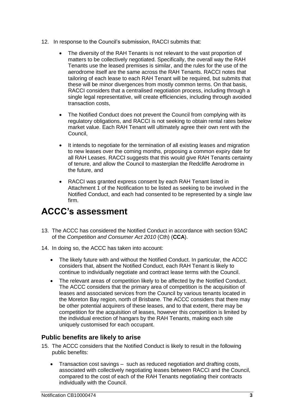- 12. In response to the Council's submission, RACCI submits that:
	- The diversity of the RAH Tenants is not relevant to the vast proportion of matters to be collectively negotiated. Specifically, the overall way the RAH Tenants use the leased premises is similar, and the rules for the use of the aerodrome itself are the same across the RAH Tenants. RACCI notes that tailoring of each lease to each RAH Tenant will be required, but submits that these will be minor divergences from mostly common terms. On that basis, RACCI considers that a centralised negotiation process, including through a single legal representative, will create efficiencies, including through avoided transaction costs,
	- The Notified Conduct does not prevent the Council from complying with its regulatory obligations, and RACCI is not seeking to obtain rental rates below market value. Each RAH Tenant will ultimately agree their own rent with the Council,
	- It intends to negotiate for the termination of all existing leases and migration to new leases over the coming months, proposing a common expiry date for all RAH Leases. RACCI suggests that this would give RAH Tenants certainty of tenure, and allow the Council to masterplan the Redcliffe Aerodrome in the future, and
	- RACCI was granted express consent by each RAH Tenant listed in Attachment 1 of the Notification to be listed as seeking to be involved in the Notified Conduct, and each had consented to be represented by a single law firm.

## **ACCC's assessment**

- 13. The ACCC has considered the Notified Conduct in accordance with section 93AC of the *Competition and Consumer Act 2010* (Cth) (**CCA**).
- 14. In doing so, the ACCC has taken into account:
	- The likely future with and without the Notified Conduct. In particular, the ACCC considers that, absent the Notified Conduct, each RAH Tenant is likely to continue to individually negotiate and contract lease terms with the Council.
	- The relevant areas of competition likely to be affected by the Notified Conduct. The ACCC considers that the primary area of competition is the acquisition of leases and associated services from the Council by various tenants located in the Moreton Bay region, north of Brisbane. The ACCC considers that there may be other potential acquirers of these leases, and to that extent, there may be competition for the acquisition of leases, however this competition is limited by the individual erection of hangars by the RAH Tenants, making each site uniquely customised for each occupant.

#### **Public benefits are likely to arise**

- 15. The ACCC considers that the Notified Conduct is likely to result in the following public benefits:
	- Transaction cost savings such as reduced negotiation and drafting costs, associated with collectively negotiating leases between RACCI and the Council, compared to the cost of each of the RAH Tenants negotiating their contracts individually with the Council.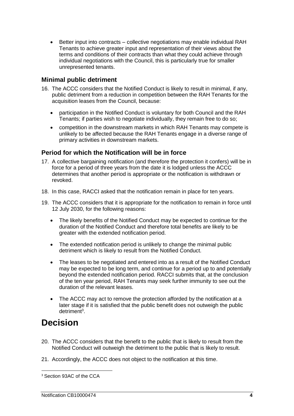Better input into contracts – collective negotiations may enable individual RAH Tenants to achieve greater input and representation of their views about the terms and conditions of their contracts than what they could achieve through individual negotiations with the Council, this is particularly true for smaller unrepresented tenants.

#### **Minimal public detriment**

- 16. The ACCC considers that the Notified Conduct is likely to result in minimal, if any, public detriment from a reduction in competition between the RAH Tenants for the acquisition leases from the Council, because:
	- participation in the Notified Conduct is voluntary for both Council and the RAH Tenants; if parties wish to negotiate individually, they remain free to do so;
	- competition in the downstream markets in which RAH Tenants may compete is unlikely to be affected because the RAH Tenants engage in a diverse range of primary activities in downstream markets.

#### **Period for which the Notification will be in force**

- 17. A collective bargaining notification (and therefore the protection it confers) will be in force for a period of three years from the date it is lodged unless the ACCC determines that another period is appropriate or the notification is withdrawn or revoked.
- 18. In this case, RACCI asked that the notification remain in place for ten years.
- <span id="page-4-0"></span>19. The ACCC considers that it is appropriate for the notification to remain in force until 12 July 2030, for the following reasons:
	- The likely benefits of the Notified Conduct may be expected to continue for the duration of the Notified Conduct and therefore total benefits are likely to be greater with the extended notification period.
	- The extended notification period is unlikely to change the minimal public detriment which is likely to result from the Notified Conduct.
	- The leases to be negotiated and entered into as a result of the Notified Conduct may be expected to be long term, and continue for a period up to and potentially beyond the extended notification period. RACCI submits that, at the conclusion of the ten year period, RAH Tenants may seek further immunity to see out the duration of the relevant leases.
	- The ACCC may act to remove the protection afforded by the notification at a later stage if it is satisfied that the public benefit does not outweigh the public detriment<sup>3</sup>.

## **Decision**

- 20. The ACCC considers that the benefit to the public that is likely to result from the Notified Conduct will outweigh the detriment to the public that is likely to result.
- 21. Accordingly, the ACCC does not object to the notification at this time.

**<sup>.</sup>** <sup>3</sup> Section 93AC of the CCA